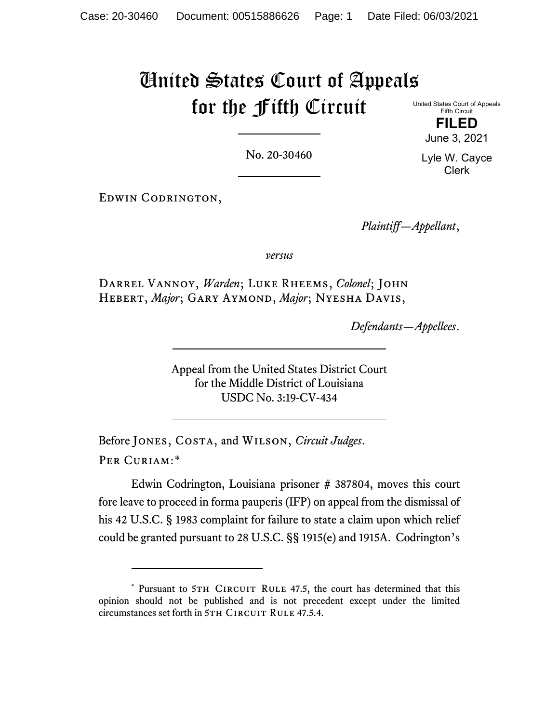## United States Court of Appeals for the Fifth Circuit

United States Court of Appeals Fifth Circuit **FILED**

June 3, 2021

No. 20-30460

Lyle W. Cayce Clerk

Edwin Codrington,

*Plaintiff—Appellant*,

*versus*

Darrel Vannoy, *Warden*; Luke Rheems, *Colonel*; John Hebert, *Major*; Gary Aymond, *Major*; Nyesha Davis,

*Defendants—Appellees*.

Appeal from the United States District Court for the Middle District of Louisiana USDC No. 3:19-CV-434

Before Jones, Costa, and Wilson, *Circuit Judges*. Per Curiam:[\\*](#page-0-0)

Edwin Codrington, Louisiana prisoner # 387804, moves this court fore leave to proceed in forma pauperis (IFP) on appeal from the dismissal of his 42 U.S.C. § 1983 complaint for failure to state a claim upon which relief could be granted pursuant to 28 U.S.C. §§ 1915(e) and 1915A. Codrington's

<span id="page-0-0"></span><sup>\*</sup> Pursuant to 5TH CIRCUIT RULE 47.5, the court has determined that this opinion should not be published and is not precedent except under the limited circumstances set forth in 5TH CIRCUIT RULE 47.5.4.